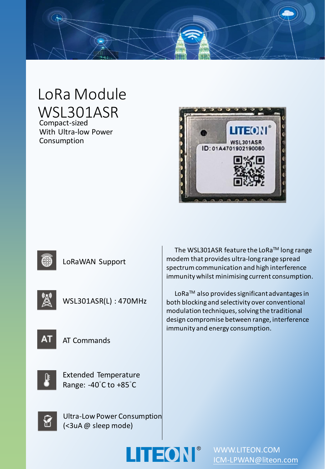

# LoRa Module WSL301ASR

Compact-sized With Ultra-low Power Consumption





LoRaWAN Support



WSL301ASR(L) : 470MHz



AT Commands



Extended Temperature Range: -40°C to +85°C

Ultra-Low Power Consumption (<3uA @ sleep mode)

The WSL301ASR feature the LoRa™ long range modem that provides ultra-long range spread spectrum communication and high interference immunity whilst minimising current consumption.

LoRaTM also provides significant advantages in both blocking and selectivity over conventional modulation techniques, solving the traditional design compromise between range, interference immunity and energy consumption.





WWW.LITEON.COM [ICM-LPWAN@liteon.com](mailto:ICM-LPWAN@liteon.com)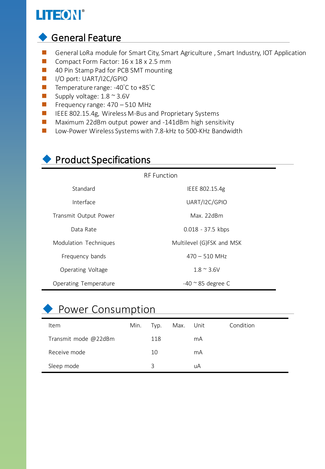## LITEON®

### ◆ General Feature

- General LoRa module for Smart City, Smart Agriculture, Smart Industry, IOT Application
- Compact Form Factor: 16 x 18 x 2.5 mm
- 40 Pin Stamp Pad for PCB SMT mounting
- I/O port: UART/I2C/GPIO
- Temperature range: -40°C to +85°C
- Supply voltage:  $1.8 \approx 3.6V$
- $\blacksquare$  Frequency range: 470 510 MHz
- IEEE 802.15.4g, Wireless M-Bus and Proprietary Systems
- Maximum 22dBm output power and -141dBm high sensitivity
- Low-Power Wireless Systems with 7.8-kHz to 500-KHz Bandwidth

## ◆ Product Specifications

RF Function

| Standard              | IEEE 802.15.4g              |  |  |  |
|-----------------------|-----------------------------|--|--|--|
| Interface             | UART/I2C/GPIO               |  |  |  |
| Transmit Output Power | Max. 22dBm                  |  |  |  |
| Data Rate             | $0.018 - 37.5$ kbps         |  |  |  |
| Modulation Techniques | Multilevel (G)FSK and MSK   |  |  |  |
| Frequency bands       | $470 - 510$ MHz             |  |  |  |
| Operating Voltage     | $1.8 \approx 3.6$ V         |  |  |  |
| Operating Temperature | $-40$ $\degree$ 85 degree C |  |  |  |

## ◆ Power Consumption

| ltem                 | Min. | Typ. | Max. Unit |    | Condition |
|----------------------|------|------|-----------|----|-----------|
| Transmit mode @22dBm |      | 118  |           | mA |           |
| Receive mode         |      | 10   |           | mA |           |
| Sleep mode           |      | 3    |           | uA |           |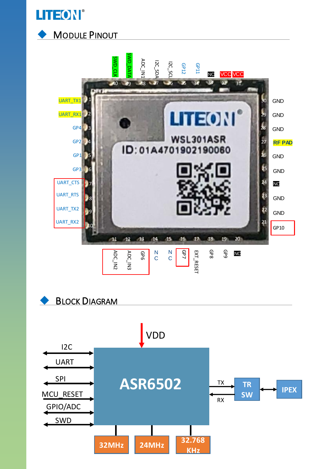





**BLOCK DIAGRAM** 

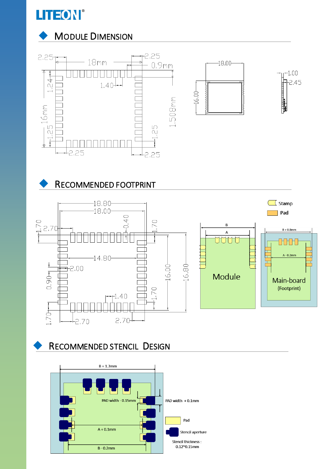

### **MODULE DIMENSION**



#### RECOMMENDED FOOTPRINT



**RECOMMENDED STENCIL DESIGN** 

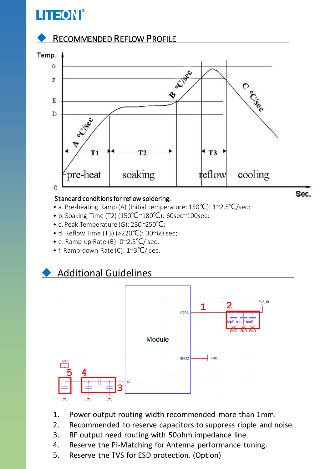## **LITEON®**

#### **RECOMMENDED REFLOW PROFILE**



#### Standard conditions for reflow soldering:

- a. Pre-heating Ramp (A) (Initial temperature: 150℃): 1~2.5℃/sec;
- b. Soaking Time (T2) (150℃~180℃): 60sec~100sec;
- c. Peak Temperature (G): 230~250℃;
- d. Reflow Time (T3) (>220°C): 30~60 sec;
- e. Ramp-up Rate (B): 0~2.5℃/ sec;
- f. Ramp-down Rate (C): 1~3℃/ sec.

#### **Additional Guidelines**



- 1. Power output routing width recommended more than 1mm.
- 2. Recommended to reserve capacitors to suppress ripple and noise.
- 3. RF output need routing with 50ohm impedance line.
- 4. Reserve the Pi-Matching for Antenna performance tuning.
- 5. Reserve the TVS for ESD protection. (Option)

Sec.